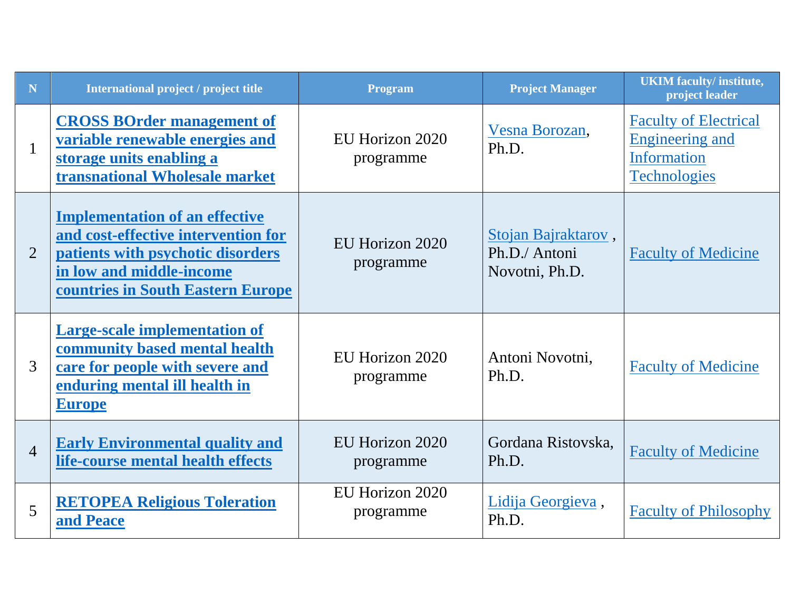| N              | International project / project title                                                                                                                                              | <b>Program</b>               | <b>Project Manager</b>                                 | <b>UKIM</b> faculty/ institute,<br>project leader                                            |
|----------------|------------------------------------------------------------------------------------------------------------------------------------------------------------------------------------|------------------------------|--------------------------------------------------------|----------------------------------------------------------------------------------------------|
| $\mathbf{1}$   | <b>CROSS BOrder management of</b><br>variable renewable energies and<br>storage units enabling a<br>transnational Wholesale market                                                 | EU Horizon 2020<br>programme | Vesna Borozan,<br>Ph.D.                                | <b>Faculty of Electrical</b><br><b>Engineering and</b><br>Information<br><b>Technologies</b> |
| $\overline{2}$ | <b>Implementation of an effective</b><br>and cost-effective intervention for<br>patients with psychotic disorders<br>in low and middle-income<br>countries in South Eastern Europe | EU Horizon 2020<br>programme | Stojan Bajraktarov,<br>Ph.D./ Antoni<br>Novotni, Ph.D. | <b>Faculty of Medicine</b>                                                                   |
| 3              | <b>Large-scale implementation of</b><br>community based mental health<br>care for people with severe and<br>enduring mental ill health in<br><b>Europe</b>                         | EU Horizon 2020<br>programme | Antoni Novotni,<br>Ph.D.                               | <b>Faculty of Medicine</b>                                                                   |
| $\overline{4}$ | <b>Early Environmental quality and</b><br>life-course mental health effects                                                                                                        | EU Horizon 2020<br>programme | Gordana Ristovska,<br>Ph.D.                            | <b>Faculty of Medicine</b>                                                                   |
| 5              | <b>RETOPEA Religious Toleration</b><br>and Peace                                                                                                                                   | EU Horizon 2020<br>programme | Lidija Georgieva,<br>Ph.D.                             | <b>Faculty of Philosophy</b>                                                                 |